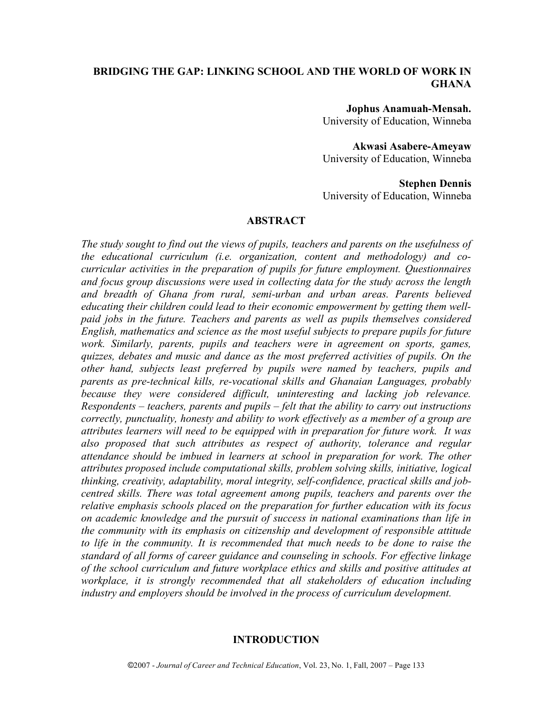## **BRIDGING THE GAP: LINKING SCHOOL AND THE WORLD OF WORK IN GHANA**

**Jophus Anamuah-Mensah.** University of Education, Winneba

**Akwasi Asabere-Ameyaw** University of Education, Winneba

**Stephen Dennis** University of Education, Winneba

#### **ABSTRACT**

*The study sought to find out the views of pupils, teachers and parents on the usefulness of the educational curriculum (i.e. organization, content and methodology) and cocurricular activities in the preparation of pupils for future employment. Questionnaires and focus group discussions were used in collecting data for the study across the length and breadth of Ghana from rural, semi-urban and urban areas. Parents believed educating their children could lead to their economic empowerment by getting them wellpaid jobs in the future. Teachers and parents as well as pupils themselves considered English, mathematics and science as the most useful subjects to prepare pupils for future work. Similarly, parents, pupils and teachers were in agreement on sports, games, quizzes, debates and music and dance as the most preferred activities of pupils. On the other hand, subjects least preferred by pupils were named by teachers, pupils and parents as pre-technical kills, re-vocational skills and Ghanaian Languages, probably because they were considered difficult, uninteresting and lacking job relevance. Respondents – teachers, parents and pupils – felt that the ability to carry out instructions correctly, punctuality, honesty and ability to work effectively as a member of a group are attributes learners will need to be equipped with in preparation for future work. It was also proposed that such attributes as respect of authority, tolerance and regular attendance should be imbued in learners at school in preparation for work. The other attributes proposed include computational skills, problem solving skills, initiative, logical thinking, creativity, adaptability, moral integrity, self-confidence, practical skills and jobcentred skills. There was total agreement among pupils, teachers and parents over the relative emphasis schools placed on the preparation for further education with its focus on academic knowledge and the pursuit of success in national examinations than life in the community with its emphasis on citizenship and development of responsible attitude to life in the community. It is recommended that much needs to be done to raise the standard of all forms of career guidance and counseling in schools. For effective linkage of the school curriculum and future workplace ethics and skills and positive attitudes at workplace, it is strongly recommended that all stakeholders of education including industry and employers should be involved in the process of curriculum development.*

#### **INTRODUCTION**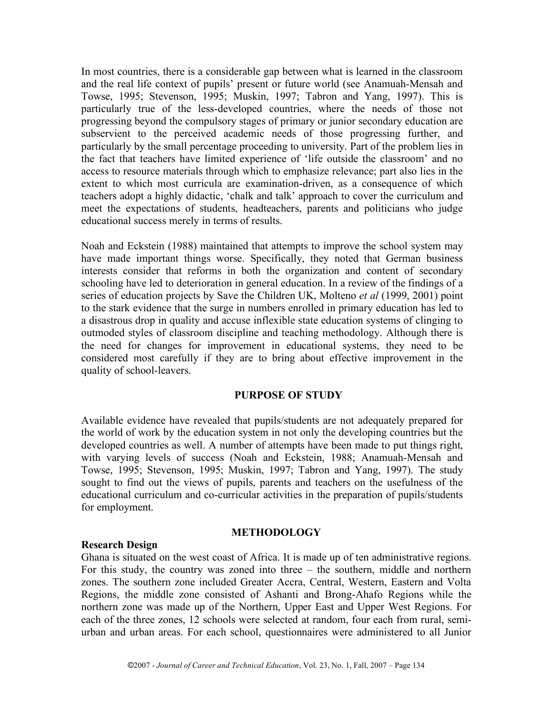In most countries, there is a considerable gap between what is learned in the classroom and the real life context of pupils' present or future world (see Anamuah-Mensah and Towse, 1995; Stevenson, 1995; Muskin, 1997; Tabron and Yang, 1997). This is particularly true of the less-developed countries, where the needs of those not progressing beyond the compulsory stages of primary or junior secondary education are subservient to the perceived academic needs of those progressing further, and particularly by the small percentage proceeding to university. Part of the problem lies in the fact that teachers have limited experience of 'life outside the classroom' and no access to resource materials through which to emphasize relevance; part also lies in the extent to which most curricula are examination-driven, as a consequence of which teachers adopt a highly didactic, 'chalk and talk' approach to cover the curriculum and meet the expectations of students, headteachers, parents and politicians who judge educational success merely in terms of results.

Noah and Eckstein (1988) maintained that attempts to improve the school system may have made important things worse. Specifically, they noted that German business interests consider that reforms in both the organization and content of secondary schooling have led to deterioration in general education. In a review of the findings of a series of education projects by Save the Children UK, Molteno *et al* (1999, 2001) point to the stark evidence that the surge in numbers enrolled in primary education has led to a disastrous drop in quality and accuse inflexible state education systems of clinging to outmoded styles of classroom discipline and teaching methodology. Although there is the need for changes for improvement in educational systems, they need to be considered most carefully if they are to bring about effective improvement in the quality of school-leavers.

#### **PURPOSE OF STUDY**

Available evidence have revealed that pupils/students are not adequately prepared for the world of work by the education system in not only the developing countries but the developed countries as well. A number of attempts have been made to put things right, with varying levels of success (Noah and Eckstein, 1988; Anamuah-Mensah and Towse, 1995; Stevenson, 1995; Muskin, 1997; Tabron and Yang, 1997). The study sought to find out the views of pupils, parents and teachers on the usefulness of the educational curriculum and co-curricular activities in the preparation of pupils/students for employment.

#### **METHODOLOGY**

### **Research Design**

Ghana is situated on the west coast of Africa. It is made up of ten administrative regions. For this study, the country was zoned into three – the southern, middle and northern zones. The southern zone included Greater Accra, Central, Western, Eastern and Volta Regions, the middle zone consisted of Ashanti and Brong-Ahafo Regions while the northern zone was made up of the Northern, Upper East and Upper West Regions. For each of the three zones, 12 schools were selected at random, four each from rural, semiurban and urban areas. For each school, questionnaires were administered to all Junior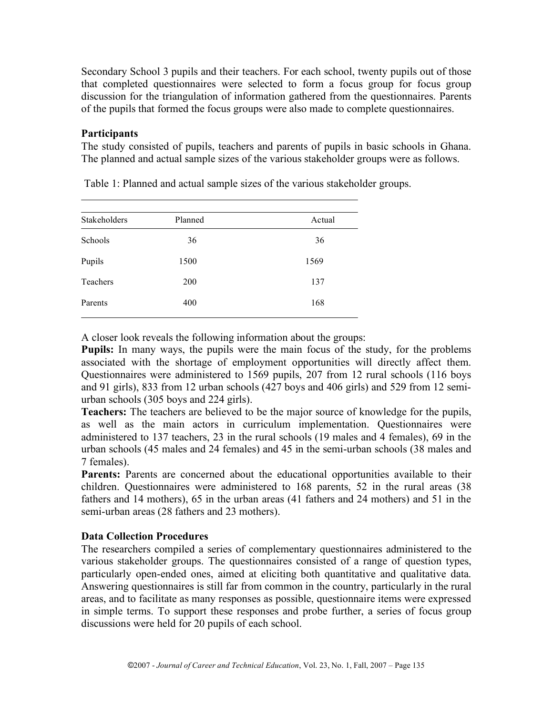Secondary School 3 pupils and their teachers. For each school, twenty pupils out of those that completed questionnaires were selected to form a focus group for focus group discussion for the triangulation of information gathered from the questionnaires. Parents of the pupils that formed the focus groups were also made to complete questionnaires.

## **Participants**

The study consisted of pupils, teachers and parents of pupils in basic schools in Ghana. The planned and actual sample sizes of the various stakeholder groups were as follows.

| Planned | Actual |  |  |
|---------|--------|--|--|
| 36      | 36     |  |  |
| 1500    | 1569   |  |  |
| 200     | 137    |  |  |
| 400     | 168    |  |  |
|         |        |  |  |

Table 1: Planned and actual sample sizes of the various stakeholder groups.

A closer look reveals the following information about the groups:

**Pupils:** In many ways, the pupils were the main focus of the study, for the problems associated with the shortage of employment opportunities will directly affect them. Questionnaires were administered to 1569 pupils, 207 from 12 rural schools (116 boys and 91 girls), 833 from 12 urban schools (427 boys and 406 girls) and 529 from 12 semiurban schools (305 boys and 224 girls).

**Teachers:** The teachers are believed to be the major source of knowledge for the pupils, as well as the main actors in curriculum implementation. Questionnaires were administered to 137 teachers, 23 in the rural schools (19 males and 4 females), 69 in the urban schools (45 males and 24 females) and 45 in the semi-urban schools (38 males and 7 females).

**Parents:** Parents are concerned about the educational opportunities available to their children. Questionnaires were administered to 168 parents, 52 in the rural areas (38 fathers and 14 mothers), 65 in the urban areas (41 fathers and 24 mothers) and 51 in the semi-urban areas (28 fathers and 23 mothers).

# **Data Collection Procedures**

The researchers compiled a series of complementary questionnaires administered to the various stakeholder groups. The questionnaires consisted of a range of question types, particularly open-ended ones, aimed at eliciting both quantitative and qualitative data. Answering questionnaires is still far from common in the country, particularly in the rural areas, and to facilitate as many responses as possible, questionnaire items were expressed in simple terms. To support these responses and probe further, a series of focus group discussions were held for 20 pupils of each school.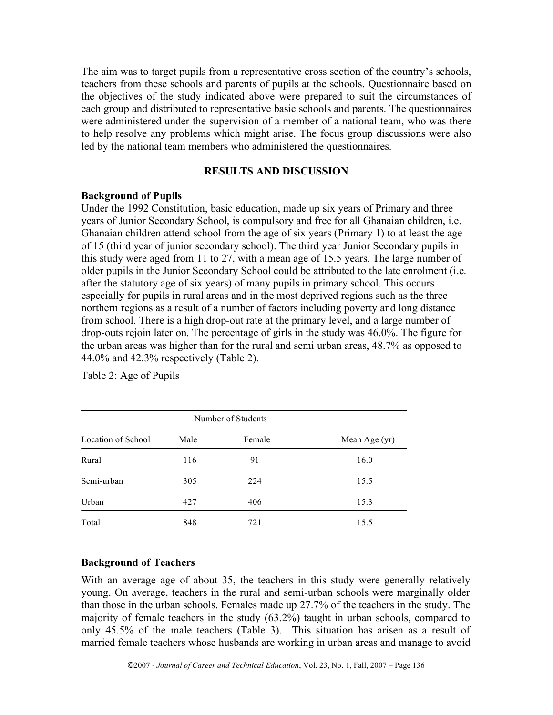The aim was to target pupils from a representative cross section of the country's schools, teachers from these schools and parents of pupils at the schools. Questionnaire based on the objectives of the study indicated above were prepared to suit the circumstances of each group and distributed to representative basic schools and parents. The questionnaires were administered under the supervision of a member of a national team, who was there to help resolve any problems which might arise. The focus group discussions were also led by the national team members who administered the questionnaires.

### **RESULTS AND DISCUSSION**

#### **Background of Pupils**

Under the 1992 Constitution, basic education, made up six years of Primary and three years of Junior Secondary School, is compulsory and free for all Ghanaian children, i.e. Ghanaian children attend school from the age of six years (Primary 1) to at least the age of 15 (third year of junior secondary school). The third year Junior Secondary pupils in this study were aged from 11 to 27, with a mean age of 15.5 years. The large number of older pupils in the Junior Secondary School could be attributed to the late enrolment (i.e. after the statutory age of six years) of many pupils in primary school. This occurs especially for pupils in rural areas and in the most deprived regions such as the three northern regions as a result of a number of factors including poverty and long distance from school. There is a high drop-out rate at the primary level, and a large number of drop-outs rejoin later on. The percentage of girls in the study was 46.0%. The figure for the urban areas was higher than for the rural and semi urban areas, 48.7% as opposed to 44.0% and 42.3% respectively (Table 2).

|                    |      | Number of Students |               |
|--------------------|------|--------------------|---------------|
| Location of School | Male | Female             | Mean Age (yr) |
| Rural              | 116  | 91                 | 16.0          |
| Semi-urban         | 305  | 224                | 15.5          |
| Urban              | 427  | 406                | 15.3          |
| Total              | 848  | 721                | 15.5          |

Table 2: Age of Pupils

#### **Background of Teachers**

With an average age of about 35, the teachers in this study were generally relatively young. On average, teachers in the rural and semi-urban schools were marginally older than those in the urban schools. Females made up 27.7% of the teachers in the study. The majority of female teachers in the study (63.2%) taught in urban schools, compared to only 45.5% of the male teachers (Table 3). This situation has arisen as a result of married female teachers whose husbands are working in urban areas and manage to avoid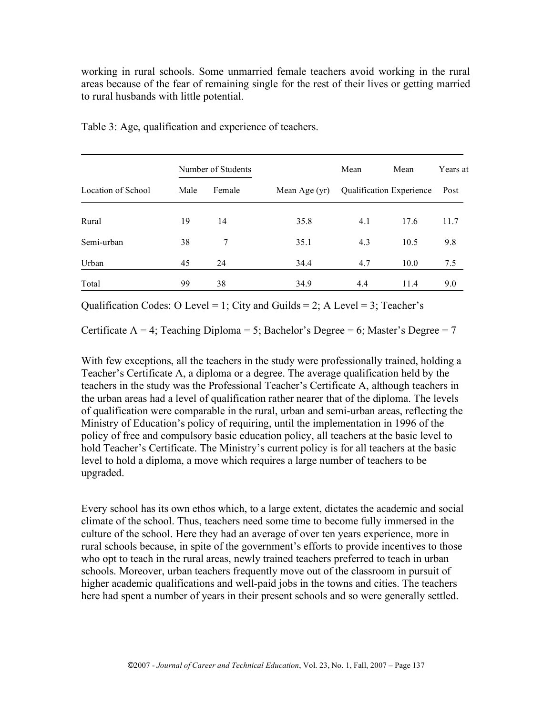working in rural schools. Some unmarried female teachers avoid working in the rural areas because of the fear of remaining single for the rest of their lives or getting married to rural husbands with little potential.

|                    | Number of Students |        |               | Mean | Mean                     | Years at |
|--------------------|--------------------|--------|---------------|------|--------------------------|----------|
| Location of School | Male               | Female | Mean Age (yr) |      | Qualification Experience | Post     |
| Rural              | 19                 | 14     | 35.8          | 4.1  | 17.6                     | 11.7     |
| Semi-urban         | 38                 | 7      | 35.1          | 4.3  | 10.5                     | 9.8      |
| Urban              | 45                 | 24     | 34.4          | 4.7  | 10.0                     | 7.5      |
| Total              | 99                 | 38     | 34.9          | 4.4  | 11.4                     | 9.0      |

Table 3: Age, qualification and experience of teachers.

Qualification Codes: O Level = 1; City and Guilds = 2; A Level = 3; Teacher's

Certificate  $A = 4$ ; Teaching Diploma = 5; Bachelor's Degree = 6; Master's Degree = 7

With few exceptions, all the teachers in the study were professionally trained, holding a Teacher's Certificate A, a diploma or a degree. The average qualification held by the teachers in the study was the Professional Teacher's Certificate A, although teachers in the urban areas had a level of qualification rather nearer that of the diploma. The levels of qualification were comparable in the rural, urban and semi-urban areas, reflecting the Ministry of Education's policy of requiring, until the implementation in 1996 of the policy of free and compulsory basic education policy, all teachers at the basic level to hold Teacher's Certificate. The Ministry's current policy is for all teachers at the basic level to hold a diploma, a move which requires a large number of teachers to be upgraded.

Every school has its own ethos which, to a large extent, dictates the academic and social climate of the school. Thus, teachers need some time to become fully immersed in the culture of the school. Here they had an average of over ten years experience, more in rural schools because, in spite of the government's efforts to provide incentives to those who opt to teach in the rural areas, newly trained teachers preferred to teach in urban schools. Moreover, urban teachers frequently move out of the classroom in pursuit of higher academic qualifications and well-paid jobs in the towns and cities. The teachers here had spent a number of years in their present schools and so were generally settled.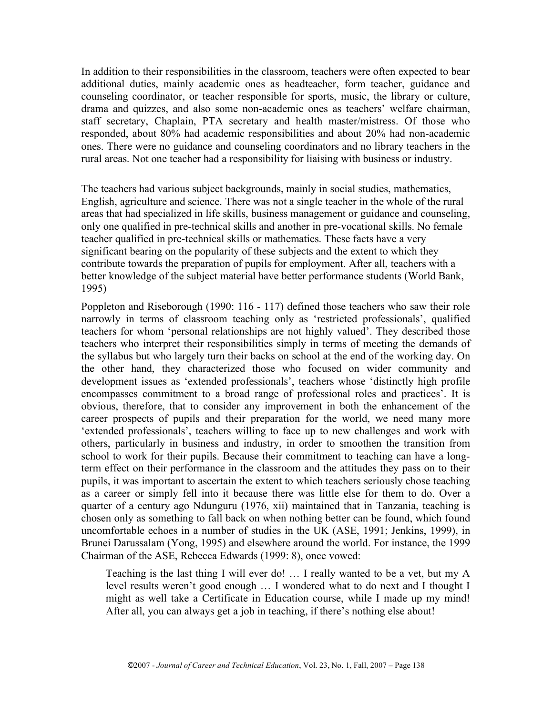In addition to their responsibilities in the classroom, teachers were often expected to bear additional duties, mainly academic ones as headteacher, form teacher, guidance and counseling coordinator, or teacher responsible for sports, music, the library or culture, drama and quizzes, and also some non-academic ones as teachers' welfare chairman, staff secretary, Chaplain, PTA secretary and health master/mistress. Of those who responded, about 80% had academic responsibilities and about 20% had non-academic ones. There were no guidance and counseling coordinators and no library teachers in the rural areas. Not one teacher had a responsibility for liaising with business or industry.

The teachers had various subject backgrounds, mainly in social studies, mathematics, English, agriculture and science. There was not a single teacher in the whole of the rural areas that had specialized in life skills, business management or guidance and counseling, only one qualified in pre-technical skills and another in pre-vocational skills. No female teacher qualified in pre-technical skills or mathematics. These facts have a very significant bearing on the popularity of these subjects and the extent to which they contribute towards the preparation of pupils for employment. After all, teachers with a better knowledge of the subject material have better performance students (World Bank, 1995)

Poppleton and Riseborough (1990: 116 - 117) defined those teachers who saw their role narrowly in terms of classroom teaching only as 'restricted professionals', qualified teachers for whom 'personal relationships are not highly valued'. They described those teachers who interpret their responsibilities simply in terms of meeting the demands of the syllabus but who largely turn their backs on school at the end of the working day. On the other hand, they characterized those who focused on wider community and development issues as 'extended professionals', teachers whose 'distinctly high profile encompasses commitment to a broad range of professional roles and practices'. It is obvious, therefore, that to consider any improvement in both the enhancement of the career prospects of pupils and their preparation for the world, we need many more 'extended professionals', teachers willing to face up to new challenges and work with others, particularly in business and industry, in order to smoothen the transition from school to work for their pupils. Because their commitment to teaching can have a longterm effect on their performance in the classroom and the attitudes they pass on to their pupils, it was important to ascertain the extent to which teachers seriously chose teaching as a career or simply fell into it because there was little else for them to do. Over a quarter of a century ago Ndunguru (1976, xii) maintained that in Tanzania, teaching is chosen only as something to fall back on when nothing better can be found, which found uncomfortable echoes in a number of studies in the UK (ASE, 1991; Jenkins, 1999), in Brunei Darussalam (Yong, 1995) and elsewhere around the world. For instance, the 1999 Chairman of the ASE, Rebecca Edwards (1999: 8), once vowed:

Teaching is the last thing I will ever do! … I really wanted to be a vet, but my A level results weren't good enough … I wondered what to do next and I thought I might as well take a Certificate in Education course, while I made up my mind! After all, you can always get a job in teaching, if there's nothing else about!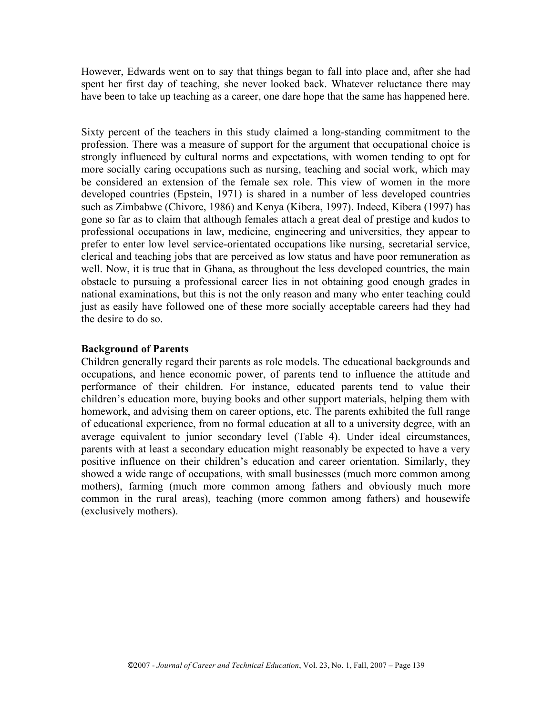However, Edwards went on to say that things began to fall into place and, after she had spent her first day of teaching, she never looked back. Whatever reluctance there may have been to take up teaching as a career, one dare hope that the same has happened here.

Sixty percent of the teachers in this study claimed a long-standing commitment to the profession. There was a measure of support for the argument that occupational choice is strongly influenced by cultural norms and expectations, with women tending to opt for more socially caring occupations such as nursing, teaching and social work, which may be considered an extension of the female sex role. This view of women in the more developed countries (Epstein, 1971) is shared in a number of less developed countries such as Zimbabwe (Chivore, 1986) and Kenya (Kibera, 1997). Indeed, Kibera (1997) has gone so far as to claim that although females attach a great deal of prestige and kudos to professional occupations in law, medicine, engineering and universities, they appear to prefer to enter low level service-orientated occupations like nursing, secretarial service, clerical and teaching jobs that are perceived as low status and have poor remuneration as well. Now, it is true that in Ghana, as throughout the less developed countries, the main obstacle to pursuing a professional career lies in not obtaining good enough grades in national examinations, but this is not the only reason and many who enter teaching could just as easily have followed one of these more socially acceptable careers had they had the desire to do so.

#### **Background of Parents**

Children generally regard their parents as role models. The educational backgrounds and occupations, and hence economic power, of parents tend to influence the attitude and performance of their children. For instance, educated parents tend to value their children's education more, buying books and other support materials, helping them with homework, and advising them on career options, etc. The parents exhibited the full range of educational experience, from no formal education at all to a university degree, with an average equivalent to junior secondary level (Table 4). Under ideal circumstances, parents with at least a secondary education might reasonably be expected to have a very positive influence on their children's education and career orientation. Similarly, they showed a wide range of occupations, with small businesses (much more common among mothers), farming (much more common among fathers and obviously much more common in the rural areas), teaching (more common among fathers) and housewife (exclusively mothers).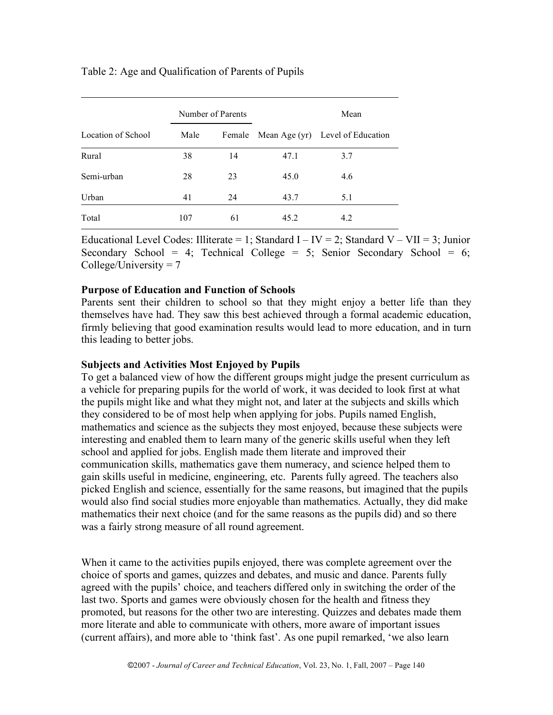## Table 2: Age and Qualification of Parents of Pupils

|                    | Number of Parents |    | Mean |                                         |  |
|--------------------|-------------------|----|------|-----------------------------------------|--|
| Location of School | Male              |    |      | Female Mean Age (yr) Level of Education |  |
| Rural              | 38                | 14 | 47.1 | 3.7                                     |  |
| Semi-urban         | 28                | 23 | 45.0 | 4.6                                     |  |
| Urban              | 41                | 24 | 43.7 | 5.1                                     |  |
| Total              | 107               | 61 | 45.2 | 4.2                                     |  |

Educational Level Codes: Illiterate = 1; Standard I – IV = 2; Standard V – VII = 3; Junior Secondary School = 4; Technical College = 5; Senior Secondary School = 6;  $CollectUniversity = 7$ 

### **Purpose of Education and Function of Schools**

Parents sent their children to school so that they might enjoy a better life than they themselves have had. They saw this best achieved through a formal academic education, firmly believing that good examination results would lead to more education, and in turn this leading to better jobs.

#### **Subjects and Activities Most Enjoyed by Pupils**

To get a balanced view of how the different groups might judge the present curriculum as a vehicle for preparing pupils for the world of work, it was decided to look first at what the pupils might like and what they might not, and later at the subjects and skills which they considered to be of most help when applying for jobs. Pupils named English, mathematics and science as the subjects they most enjoyed, because these subjects were interesting and enabled them to learn many of the generic skills useful when they left school and applied for jobs. English made them literate and improved their communication skills, mathematics gave them numeracy, and science helped them to gain skills useful in medicine, engineering, etc. Parents fully agreed. The teachers also picked English and science, essentially for the same reasons, but imagined that the pupils would also find social studies more enjoyable than mathematics. Actually, they did make mathematics their next choice (and for the same reasons as the pupils did) and so there was a fairly strong measure of all round agreement.

When it came to the activities pupils enjoyed, there was complete agreement over the choice of sports and games, quizzes and debates, and music and dance. Parents fully agreed with the pupils' choice, and teachers differed only in switching the order of the last two. Sports and games were obviously chosen for the health and fitness they promoted, but reasons for the other two are interesting. Quizzes and debates made them more literate and able to communicate with others, more aware of important issues (current affairs), and more able to 'think fast'. As one pupil remarked, 'we also learn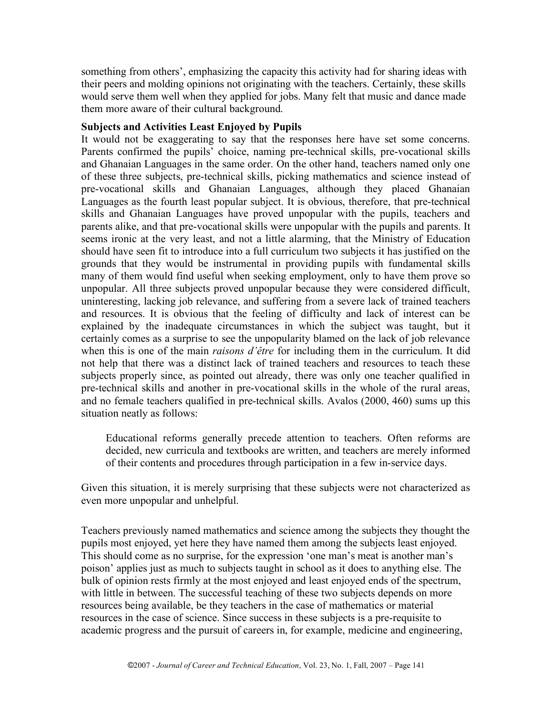something from others', emphasizing the capacity this activity had for sharing ideas with their peers and molding opinions not originating with the teachers. Certainly, these skills would serve them well when they applied for jobs. Many felt that music and dance made them more aware of their cultural background.

## **Subjects and Activities Least Enjoyed by Pupils**

It would not be exaggerating to say that the responses here have set some concerns. Parents confirmed the pupils' choice, naming pre-technical skills, pre-vocational skills and Ghanaian Languages in the same order. On the other hand, teachers named only one of these three subjects, pre-technical skills, picking mathematics and science instead of pre-vocational skills and Ghanaian Languages, although they placed Ghanaian Languages as the fourth least popular subject. It is obvious, therefore, that pre-technical skills and Ghanaian Languages have proved unpopular with the pupils, teachers and parents alike, and that pre-vocational skills were unpopular with the pupils and parents. It seems ironic at the very least, and not a little alarming, that the Ministry of Education should have seen fit to introduce into a full curriculum two subjects it has justified on the grounds that they would be instrumental in providing pupils with fundamental skills many of them would find useful when seeking employment, only to have them prove so unpopular. All three subjects proved unpopular because they were considered difficult, uninteresting, lacking job relevance, and suffering from a severe lack of trained teachers and resources. It is obvious that the feeling of difficulty and lack of interest can be explained by the inadequate circumstances in which the subject was taught, but it certainly comes as a surprise to see the unpopularity blamed on the lack of job relevance when this is one of the main *raisons d'être* for including them in the curriculum. It did not help that there was a distinct lack of trained teachers and resources to teach these subjects properly since, as pointed out already, there was only one teacher qualified in pre-technical skills and another in pre-vocational skills in the whole of the rural areas, and no female teachers qualified in pre-technical skills. Avalos (2000, 460) sums up this situation neatly as follows:

Educational reforms generally precede attention to teachers. Often reforms are decided, new curricula and textbooks are written, and teachers are merely informed of their contents and procedures through participation in a few in-service days.

Given this situation, it is merely surprising that these subjects were not characterized as even more unpopular and unhelpful.

Teachers previously named mathematics and science among the subjects they thought the pupils most enjoyed, yet here they have named them among the subjects least enjoyed. This should come as no surprise, for the expression 'one man's meat is another man's poison' applies just as much to subjects taught in school as it does to anything else. The bulk of opinion rests firmly at the most enjoyed and least enjoyed ends of the spectrum, with little in between. The successful teaching of these two subjects depends on more resources being available, be they teachers in the case of mathematics or material resources in the case of science. Since success in these subjects is a pre-requisite to academic progress and the pursuit of careers in, for example, medicine and engineering,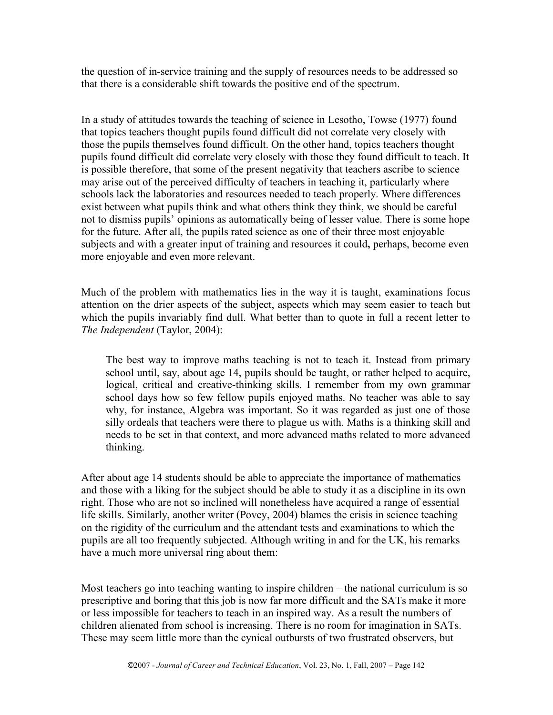the question of in-service training and the supply of resources needs to be addressed so that there is a considerable shift towards the positive end of the spectrum.

In a study of attitudes towards the teaching of science in Lesotho, Towse (1977) found that topics teachers thought pupils found difficult did not correlate very closely with those the pupils themselves found difficult. On the other hand, topics teachers thought pupils found difficult did correlate very closely with those they found difficult to teach. It is possible therefore, that some of the present negativity that teachers ascribe to science may arise out of the perceived difficulty of teachers in teaching it, particularly where schools lack the laboratories and resources needed to teach properly. Where differences exist between what pupils think and what others think they think, we should be careful not to dismiss pupils' opinions as automatically being of lesser value. There is some hope for the future. After all, the pupils rated science as one of their three most enjoyable subjects and with a greater input of training and resources it could**,** perhaps, become even more enjoyable and even more relevant.

Much of the problem with mathematics lies in the way it is taught, examinations focus attention on the drier aspects of the subject, aspects which may seem easier to teach but which the pupils invariably find dull. What better than to quote in full a recent letter to *The Independent* (Taylor, 2004):

The best way to improve maths teaching is not to teach it. Instead from primary school until, say, about age 14, pupils should be taught, or rather helped to acquire, logical, critical and creative-thinking skills. I remember from my own grammar school days how so few fellow pupils enjoyed maths. No teacher was able to say why, for instance, Algebra was important. So it was regarded as just one of those silly ordeals that teachers were there to plague us with. Maths is a thinking skill and needs to be set in that context, and more advanced maths related to more advanced thinking.

After about age 14 students should be able to appreciate the importance of mathematics and those with a liking for the subject should be able to study it as a discipline in its own right. Those who are not so inclined will nonetheless have acquired a range of essential life skills. Similarly, another writer (Povey, 2004) blames the crisis in science teaching on the rigidity of the curriculum and the attendant tests and examinations to which the pupils are all too frequently subjected. Although writing in and for the UK, his remarks have a much more universal ring about them:

Most teachers go into teaching wanting to inspire children – the national curriculum is so prescriptive and boring that this job is now far more difficult and the SATs make it more or less impossible for teachers to teach in an inspired way. As a result the numbers of children alienated from school is increasing. There is no room for imagination in SATs. These may seem little more than the cynical outbursts of two frustrated observers, but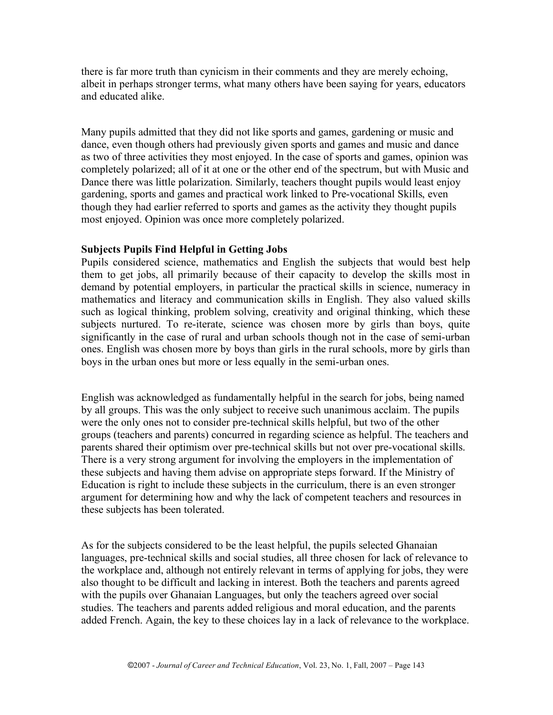there is far more truth than cynicism in their comments and they are merely echoing, albeit in perhaps stronger terms, what many others have been saying for years, educators and educated alike.

Many pupils admitted that they did not like sports and games, gardening or music and dance, even though others had previously given sports and games and music and dance as two of three activities they most enjoyed. In the case of sports and games, opinion was completely polarized; all of it at one or the other end of the spectrum, but with Music and Dance there was little polarization. Similarly, teachers thought pupils would least enjoy gardening, sports and games and practical work linked to Pre-vocational Skills, even though they had earlier referred to sports and games as the activity they thought pupils most enjoyed. Opinion was once more completely polarized.

### **Subjects Pupils Find Helpful in Getting Jobs**

Pupils considered science, mathematics and English the subjects that would best help them to get jobs, all primarily because of their capacity to develop the skills most in demand by potential employers, in particular the practical skills in science, numeracy in mathematics and literacy and communication skills in English. They also valued skills such as logical thinking, problem solving, creativity and original thinking, which these subjects nurtured. To re-iterate, science was chosen more by girls than boys, quite significantly in the case of rural and urban schools though not in the case of semi-urban ones. English was chosen more by boys than girls in the rural schools, more by girls than boys in the urban ones but more or less equally in the semi-urban ones.

English was acknowledged as fundamentally helpful in the search for jobs, being named by all groups. This was the only subject to receive such unanimous acclaim. The pupils were the only ones not to consider pre-technical skills helpful, but two of the other groups (teachers and parents) concurred in regarding science as helpful. The teachers and parents shared their optimism over pre-technical skills but not over pre-vocational skills. There is a very strong argument for involving the employers in the implementation of these subjects and having them advise on appropriate steps forward. If the Ministry of Education is right to include these subjects in the curriculum, there is an even stronger argument for determining how and why the lack of competent teachers and resources in these subjects has been tolerated.

As for the subjects considered to be the least helpful, the pupils selected Ghanaian languages, pre-technical skills and social studies, all three chosen for lack of relevance to the workplace and, although not entirely relevant in terms of applying for jobs, they were also thought to be difficult and lacking in interest. Both the teachers and parents agreed with the pupils over Ghanaian Languages, but only the teachers agreed over social studies. The teachers and parents added religious and moral education, and the parents added French. Again, the key to these choices lay in a lack of relevance to the workplace.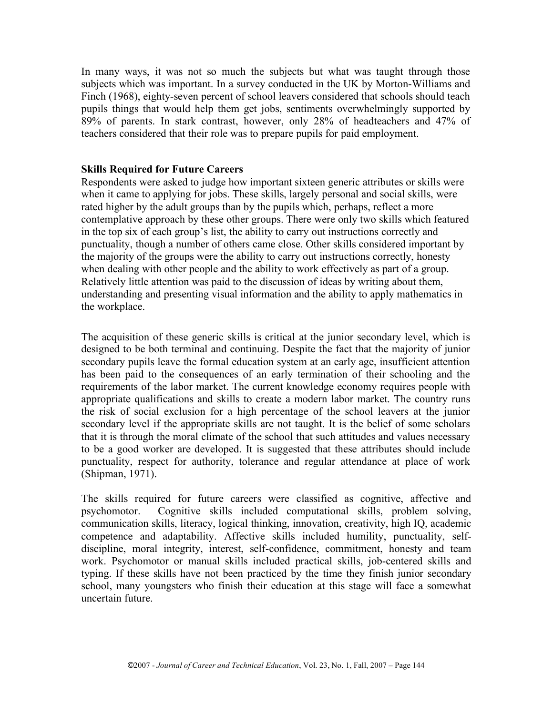In many ways, it was not so much the subjects but what was taught through those subjects which was important. In a survey conducted in the UK by Morton-Williams and Finch (1968), eighty-seven percent of school leavers considered that schools should teach pupils things that would help them get jobs, sentiments overwhelmingly supported by 89% of parents. In stark contrast, however, only 28% of headteachers and 47% of teachers considered that their role was to prepare pupils for paid employment.

#### **Skills Required for Future Careers**

Respondents were asked to judge how important sixteen generic attributes or skills were when it came to applying for jobs. These skills, largely personal and social skills, were rated higher by the adult groups than by the pupils which, perhaps, reflect a more contemplative approach by these other groups. There were only two skills which featured in the top six of each group's list, the ability to carry out instructions correctly and punctuality, though a number of others came close. Other skills considered important by the majority of the groups were the ability to carry out instructions correctly, honesty when dealing with other people and the ability to work effectively as part of a group. Relatively little attention was paid to the discussion of ideas by writing about them, understanding and presenting visual information and the ability to apply mathematics in the workplace.

The acquisition of these generic skills is critical at the junior secondary level, which is designed to be both terminal and continuing. Despite the fact that the majority of junior secondary pupils leave the formal education system at an early age, insufficient attention has been paid to the consequences of an early termination of their schooling and the requirements of the labor market. The current knowledge economy requires people with appropriate qualifications and skills to create a modern labor market. The country runs the risk of social exclusion for a high percentage of the school leavers at the junior secondary level if the appropriate skills are not taught. It is the belief of some scholars that it is through the moral climate of the school that such attitudes and values necessary to be a good worker are developed. It is suggested that these attributes should include punctuality, respect for authority, tolerance and regular attendance at place of work (Shipman, 1971).

The skills required for future careers were classified as cognitive, affective and psychomotor. Cognitive skills included computational skills, problem solving, communication skills, literacy, logical thinking, innovation, creativity, high IQ, academic competence and adaptability. Affective skills included humility, punctuality, selfdiscipline, moral integrity, interest, self-confidence, commitment, honesty and team work. Psychomotor or manual skills included practical skills, job-centered skills and typing. If these skills have not been practiced by the time they finish junior secondary school, many youngsters who finish their education at this stage will face a somewhat uncertain future.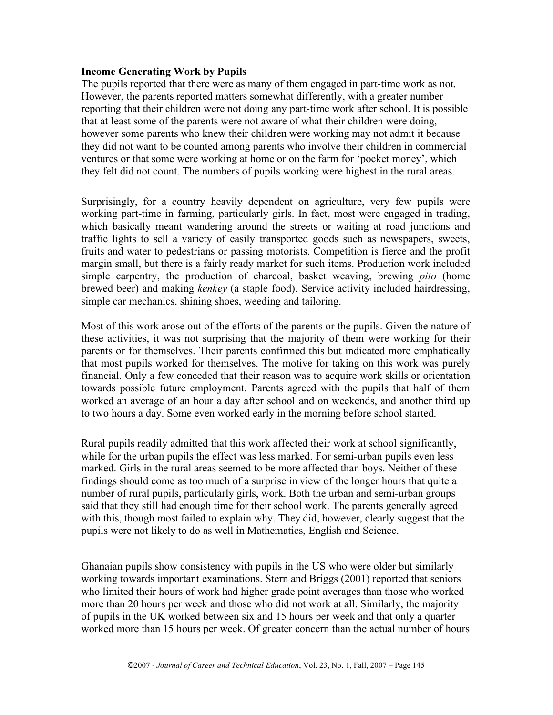#### **Income Generating Work by Pupils**

The pupils reported that there were as many of them engaged in part-time work as not. However, the parents reported matters somewhat differently, with a greater number reporting that their children were not doing any part-time work after school. It is possible that at least some of the parents were not aware of what their children were doing, however some parents who knew their children were working may not admit it because they did not want to be counted among parents who involve their children in commercial ventures or that some were working at home or on the farm for 'pocket money', which they felt did not count. The numbers of pupils working were highest in the rural areas.

Surprisingly, for a country heavily dependent on agriculture, very few pupils were working part-time in farming, particularly girls. In fact, most were engaged in trading, which basically meant wandering around the streets or waiting at road junctions and traffic lights to sell a variety of easily transported goods such as newspapers, sweets, fruits and water to pedestrians or passing motorists. Competition is fierce and the profit margin small, but there is a fairly ready market for such items. Production work included simple carpentry, the production of charcoal, basket weaving, brewing *pito* (home brewed beer) and making *kenkey* (a staple food). Service activity included hairdressing, simple car mechanics, shining shoes, weeding and tailoring.

Most of this work arose out of the efforts of the parents or the pupils. Given the nature of these activities, it was not surprising that the majority of them were working for their parents or for themselves. Their parents confirmed this but indicated more emphatically that most pupils worked for themselves. The motive for taking on this work was purely financial. Only a few conceded that their reason was to acquire work skills or orientation towards possible future employment. Parents agreed with the pupils that half of them worked an average of an hour a day after school and on weekends, and another third up to two hours a day. Some even worked early in the morning before school started.

Rural pupils readily admitted that this work affected their work at school significantly, while for the urban pupils the effect was less marked. For semi-urban pupils even less marked. Girls in the rural areas seemed to be more affected than boys. Neither of these findings should come as too much of a surprise in view of the longer hours that quite a number of rural pupils, particularly girls, work. Both the urban and semi-urban groups said that they still had enough time for their school work. The parents generally agreed with this, though most failed to explain why. They did, however, clearly suggest that the pupils were not likely to do as well in Mathematics, English and Science.

Ghanaian pupils show consistency with pupils in the US who were older but similarly working towards important examinations. Stern and Briggs (2001) reported that seniors who limited their hours of work had higher grade point averages than those who worked more than 20 hours per week and those who did not work at all. Similarly, the majority of pupils in the UK worked between six and 15 hours per week and that only a quarter worked more than 15 hours per week. Of greater concern than the actual number of hours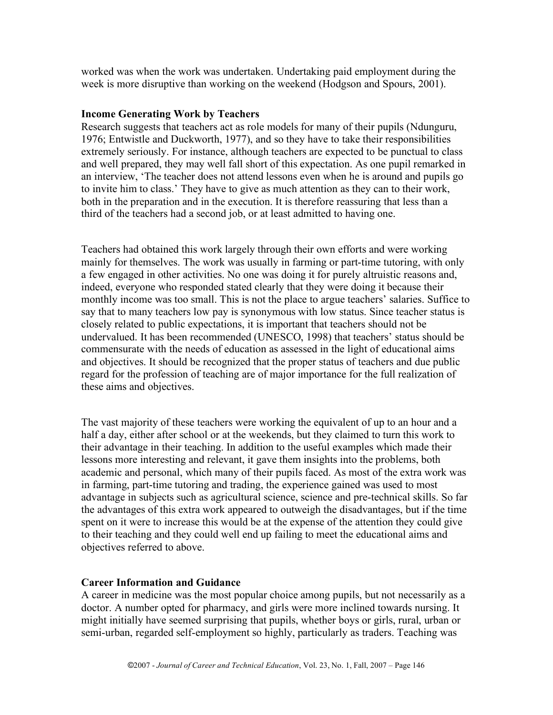worked was when the work was undertaken. Undertaking paid employment during the week is more disruptive than working on the weekend (Hodgson and Spours, 2001).

### **Income Generating Work by Teachers**

Research suggests that teachers act as role models for many of their pupils (Ndunguru, 1976; Entwistle and Duckworth, 1977), and so they have to take their responsibilities extremely seriously. For instance, although teachers are expected to be punctual to class and well prepared, they may well fall short of this expectation. As one pupil remarked in an interview, 'The teacher does not attend lessons even when he is around and pupils go to invite him to class.' They have to give as much attention as they can to their work, both in the preparation and in the execution. It is therefore reassuring that less than a third of the teachers had a second job, or at least admitted to having one.

Teachers had obtained this work largely through their own efforts and were working mainly for themselves. The work was usually in farming or part-time tutoring, with only a few engaged in other activities. No one was doing it for purely altruistic reasons and, indeed, everyone who responded stated clearly that they were doing it because their monthly income was too small. This is not the place to argue teachers' salaries. Suffice to say that to many teachers low pay is synonymous with low status. Since teacher status is closely related to public expectations, it is important that teachers should not be undervalued. It has been recommended (UNESCO, 1998) that teachers' status should be commensurate with the needs of education as assessed in the light of educational aims and objectives. It should be recognized that the proper status of teachers and due public regard for the profession of teaching are of major importance for the full realization of these aims and objectives.

The vast majority of these teachers were working the equivalent of up to an hour and a half a day, either after school or at the weekends, but they claimed to turn this work to their advantage in their teaching. In addition to the useful examples which made their lessons more interesting and relevant, it gave them insights into the problems, both academic and personal, which many of their pupils faced. As most of the extra work was in farming, part-time tutoring and trading, the experience gained was used to most advantage in subjects such as agricultural science, science and pre-technical skills. So far the advantages of this extra work appeared to outweigh the disadvantages, but if the time spent on it were to increase this would be at the expense of the attention they could give to their teaching and they could well end up failing to meet the educational aims and objectives referred to above.

### **Career Information and Guidance**

A career in medicine was the most popular choice among pupils, but not necessarily as a doctor. A number opted for pharmacy, and girls were more inclined towards nursing. It might initially have seemed surprising that pupils, whether boys or girls, rural, urban or semi-urban, regarded self-employment so highly, particularly as traders. Teaching was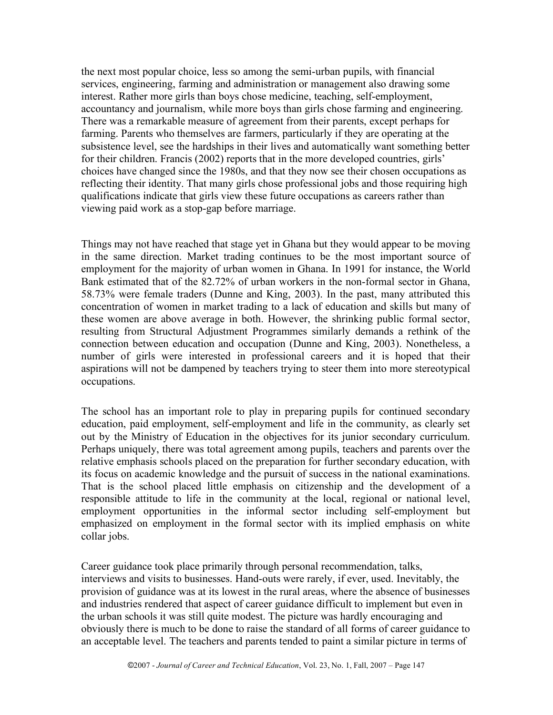the next most popular choice, less so among the semi-urban pupils, with financial services, engineering, farming and administration or management also drawing some interest. Rather more girls than boys chose medicine, teaching, self-employment, accountancy and journalism, while more boys than girls chose farming and engineering. There was a remarkable measure of agreement from their parents, except perhaps for farming. Parents who themselves are farmers, particularly if they are operating at the subsistence level, see the hardships in their lives and automatically want something better for their children. Francis (2002) reports that in the more developed countries, girls' choices have changed since the 1980s, and that they now see their chosen occupations as reflecting their identity. That many girls chose professional jobs and those requiring high qualifications indicate that girls view these future occupations as careers rather than viewing paid work as a stop-gap before marriage.

Things may not have reached that stage yet in Ghana but they would appear to be moving in the same direction. Market trading continues to be the most important source of employment for the majority of urban women in Ghana. In 1991 for instance, the World Bank estimated that of the 82.72% of urban workers in the non-formal sector in Ghana, 58.73% were female traders (Dunne and King, 2003). In the past, many attributed this concentration of women in market trading to a lack of education and skills but many of these women are above average in both. However, the shrinking public formal sector, resulting from Structural Adjustment Programmes similarly demands a rethink of the connection between education and occupation (Dunne and King, 2003). Nonetheless, a number of girls were interested in professional careers and it is hoped that their aspirations will not be dampened by teachers trying to steer them into more stereotypical occupations.

The school has an important role to play in preparing pupils for continued secondary education, paid employment, self-employment and life in the community, as clearly set out by the Ministry of Education in the objectives for its junior secondary curriculum. Perhaps uniquely, there was total agreement among pupils, teachers and parents over the relative emphasis schools placed on the preparation for further secondary education, with its focus on academic knowledge and the pursuit of success in the national examinations. That is the school placed little emphasis on citizenship and the development of a responsible attitude to life in the community at the local, regional or national level, employment opportunities in the informal sector including self-employment but emphasized on employment in the formal sector with its implied emphasis on white collar jobs.

Career guidance took place primarily through personal recommendation, talks, interviews and visits to businesses. Hand-outs were rarely, if ever, used. Inevitably, the provision of guidance was at its lowest in the rural areas, where the absence of businesses and industries rendered that aspect of career guidance difficult to implement but even in the urban schools it was still quite modest. The picture was hardly encouraging and obviously there is much to be done to raise the standard of all forms of career guidance to an acceptable level. The teachers and parents tended to paint a similar picture in terms of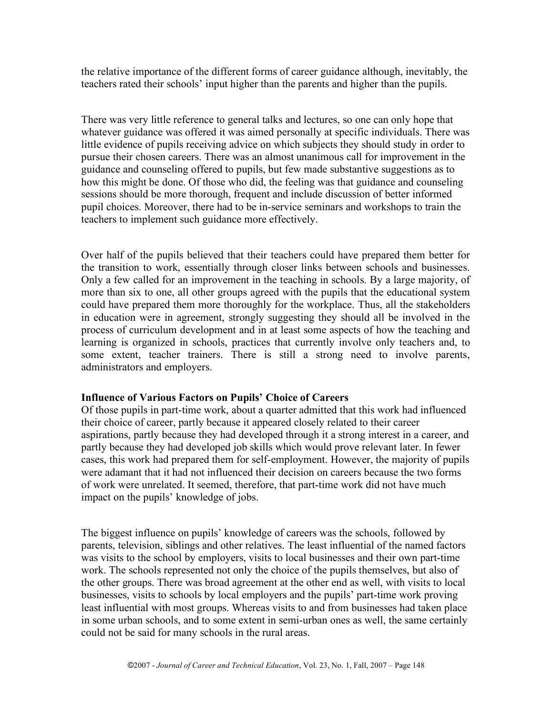the relative importance of the different forms of career guidance although, inevitably, the teachers rated their schools' input higher than the parents and higher than the pupils.

There was very little reference to general talks and lectures, so one can only hope that whatever guidance was offered it was aimed personally at specific individuals. There was little evidence of pupils receiving advice on which subjects they should study in order to pursue their chosen careers. There was an almost unanimous call for improvement in the guidance and counseling offered to pupils, but few made substantive suggestions as to how this might be done. Of those who did, the feeling was that guidance and counseling sessions should be more thorough, frequent and include discussion of better informed pupil choices. Moreover, there had to be in-service seminars and workshops to train the teachers to implement such guidance more effectively.

Over half of the pupils believed that their teachers could have prepared them better for the transition to work, essentially through closer links between schools and businesses. Only a few called for an improvement in the teaching in schools. By a large majority, of more than six to one, all other groups agreed with the pupils that the educational system could have prepared them more thoroughly for the workplace. Thus, all the stakeholders in education were in agreement, strongly suggesting they should all be involved in the process of curriculum development and in at least some aspects of how the teaching and learning is organized in schools, practices that currently involve only teachers and, to some extent, teacher trainers. There is still a strong need to involve parents, administrators and employers.

### **Influence of Various Factors on Pupils' Choice of Careers**

Of those pupils in part-time work, about a quarter admitted that this work had influenced their choice of career, partly because it appeared closely related to their career aspirations, partly because they had developed through it a strong interest in a career, and partly because they had developed job skills which would prove relevant later. In fewer cases, this work had prepared them for self-employment. However, the majority of pupils were adamant that it had not influenced their decision on careers because the two forms of work were unrelated. It seemed, therefore, that part-time work did not have much impact on the pupils' knowledge of jobs.

The biggest influence on pupils' knowledge of careers was the schools, followed by parents, television, siblings and other relatives. The least influential of the named factors was visits to the school by employers, visits to local businesses and their own part-time work. The schools represented not only the choice of the pupils themselves, but also of the other groups. There was broad agreement at the other end as well, with visits to local businesses, visits to schools by local employers and the pupils' part-time work proving least influential with most groups. Whereas visits to and from businesses had taken place in some urban schools, and to some extent in semi-urban ones as well, the same certainly could not be said for many schools in the rural areas.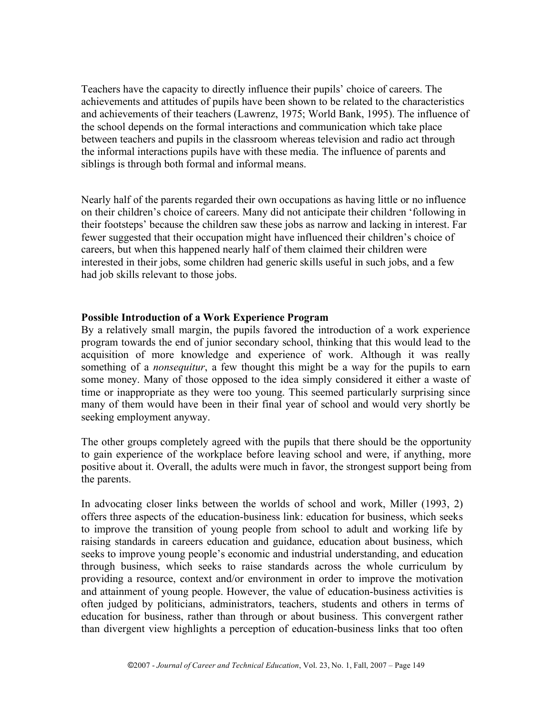Teachers have the capacity to directly influence their pupils' choice of careers. The achievements and attitudes of pupils have been shown to be related to the characteristics and achievements of their teachers (Lawrenz, 1975; World Bank, 1995). The influence of the school depends on the formal interactions and communication which take place between teachers and pupils in the classroom whereas television and radio act through the informal interactions pupils have with these media. The influence of parents and siblings is through both formal and informal means.

Nearly half of the parents regarded their own occupations as having little or no influence on their children's choice of careers. Many did not anticipate their children 'following in their footsteps' because the children saw these jobs as narrow and lacking in interest. Far fewer suggested that their occupation might have influenced their children's choice of careers, but when this happened nearly half of them claimed their children were interested in their jobs, some children had generic skills useful in such jobs, and a few had job skills relevant to those jobs.

## **Possible Introduction of a Work Experience Program**

By a relatively small margin, the pupils favored the introduction of a work experience program towards the end of junior secondary school, thinking that this would lead to the acquisition of more knowledge and experience of work. Although it was really something of a *nonsequitur*, a few thought this might be a way for the pupils to earn some money. Many of those opposed to the idea simply considered it either a waste of time or inappropriate as they were too young. This seemed particularly surprising since many of them would have been in their final year of school and would very shortly be seeking employment anyway.

The other groups completely agreed with the pupils that there should be the opportunity to gain experience of the workplace before leaving school and were, if anything, more positive about it. Overall, the adults were much in favor, the strongest support being from the parents.

In advocating closer links between the worlds of school and work, Miller (1993, 2) offers three aspects of the education-business link: education for business, which seeks to improve the transition of young people from school to adult and working life by raising standards in careers education and guidance, education about business, which seeks to improve young people's economic and industrial understanding, and education through business, which seeks to raise standards across the whole curriculum by providing a resource, context and/or environment in order to improve the motivation and attainment of young people. However, the value of education-business activities is often judged by politicians, administrators, teachers, students and others in terms of education for business, rather than through or about business. This convergent rather than divergent view highlights a perception of education-business links that too often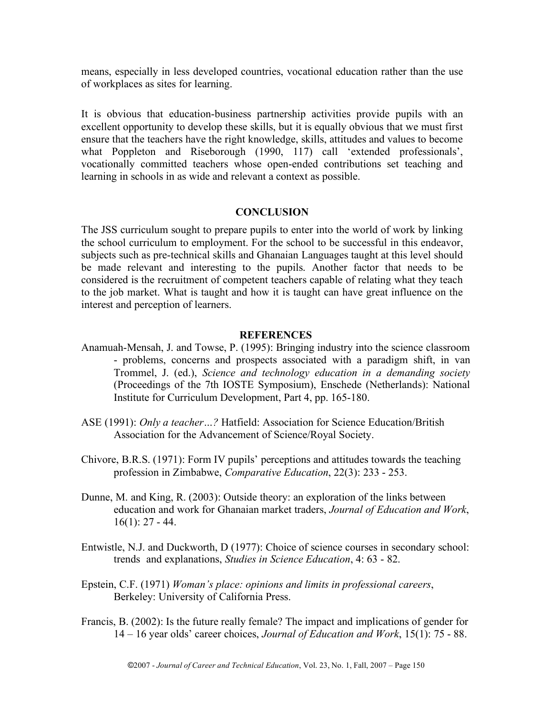means, especially in less developed countries, vocational education rather than the use of workplaces as sites for learning.

It is obvious that education-business partnership activities provide pupils with an excellent opportunity to develop these skills, but it is equally obvious that we must first ensure that the teachers have the right knowledge, skills, attitudes and values to become what Poppleton and Riseborough (1990, 117) call 'extended professionals', vocationally committed teachers whose open-ended contributions set teaching and learning in schools in as wide and relevant a context as possible.

#### **CONCLUSION**

The JSS curriculum sought to prepare pupils to enter into the world of work by linking the school curriculum to employment. For the school to be successful in this endeavor, subjects such as pre-technical skills and Ghanaian Languages taught at this level should be made relevant and interesting to the pupils. Another factor that needs to be considered is the recruitment of competent teachers capable of relating what they teach to the job market. What is taught and how it is taught can have great influence on the interest and perception of learners.

#### **REFERENCES**

- Anamuah-Mensah, J. and Towse, P. (1995): Bringing industry into the science classroom - problems, concerns and prospects associated with a paradigm shift, in van Trommel, J. (ed.), *Science and technology education in a demanding society* (Proceedings of the 7th IOSTE Symposium), Enschede (Netherlands): National Institute for Curriculum Development, Part 4, pp. 165-180.
- ASE (1991): *Only a teacher…?* Hatfield: Association for Science Education/British Association for the Advancement of Science/Royal Society.
- Chivore, B.R.S. (1971): Form IV pupils' perceptions and attitudes towards the teaching profession in Zimbabwe, *Comparative Education*, 22(3): 233 - 253.
- Dunne, M. and King, R. (2003): Outside theory: an exploration of the links between education and work for Ghanaian market traders, *Journal of Education and Work*,  $16(1)$ : 27 - 44.
- Entwistle, N.J. and Duckworth, D (1977): Choice of science courses in secondary school: trends and explanations, *Studies in Science Education*, 4: 63 - 82.
- Epstein, C.F. (1971) *Woman's place: opinions and limits in professional careers*, Berkeley: University of California Press.
- Francis, B. (2002): Is the future really female? The impact and implications of gender for 14 – 16 year olds' career choices, *Journal of Education and Work*, 15(1): 75 - 88.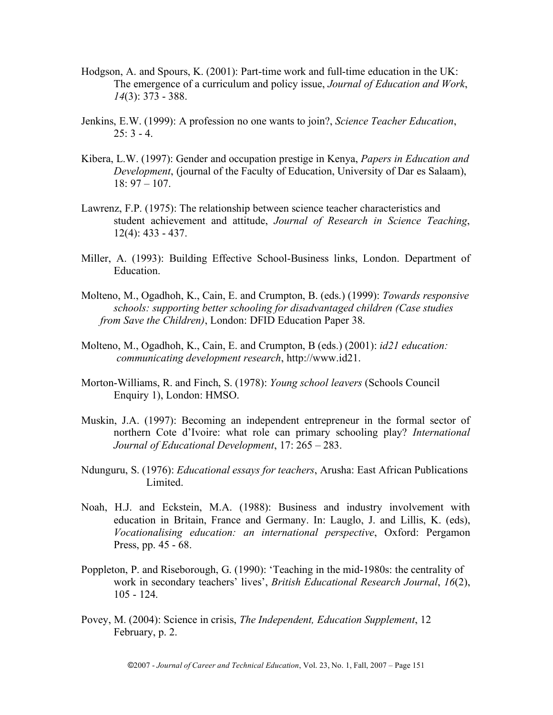- Hodgson, A. and Spours, K. (2001): Part-time work and full-time education in the UK: The emergence of a curriculum and policy issue, *Journal of Education and Work*, *14*(3): 373 - 388.
- Jenkins, E.W. (1999): A profession no one wants to join?, *Science Teacher Education*,  $25: 3 - 4.$
- Kibera, L.W. (1997): Gender and occupation prestige in Kenya, *Papers in Education and Development*, (journal of the Faculty of Education, University of Dar es Salaam), 18: 97 – 107.
- Lawrenz, F.P. (1975): The relationship between science teacher characteristics and student achievement and attitude, *Journal of Research in Science Teaching*, 12(4): 433 - 437.
- Miller, A. (1993): Building Effective School-Business links, London. Department of Education.
- Molteno, M., Ogadhoh, K., Cain, E. and Crumpton, B. (eds.) (1999): *Towards responsive schools: supporting better schooling for disadvantaged children (Case studies from Save the Children)*, London: DFID Education Paper 38.
- Molteno, M., Ogadhoh, K., Cain, E. and Crumpton, B (eds.) (2001): *id21 education: communicating development research*, http://www.id21.
- Morton-Williams, R. and Finch, S. (1978): *Young school leavers* (Schools Council Enquiry 1), London: HMSO.
- Muskin, J.A. (1997): Becoming an independent entrepreneur in the formal sector of northern Cote d'Ivoire: what role can primary schooling play? *International Journal of Educational Development*, 17: 265 – 283.
- Ndunguru, S. (1976): *Educational essays for teachers*, Arusha: East African Publications Limited.
- Noah, H.J. and Eckstein, M.A. (1988): Business and industry involvement with education in Britain, France and Germany. In: Lauglo, J. and Lillis, K. (eds), *Vocationalising education: an international perspective*, Oxford: Pergamon Press, pp. 45 - 68.
- Poppleton, P. and Riseborough, G. (1990): 'Teaching in the mid-1980s: the centrality of work in secondary teachers' lives', *British Educational Research Journal*, *16*(2), 105 - 124.
- Povey, M. (2004): Science in crisis, *The Independent, Education Supplement*, 12 February, p. 2.